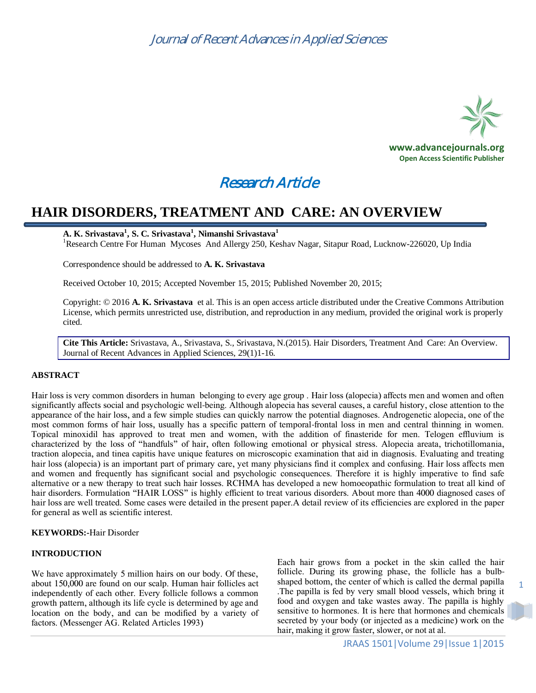

## Research Article

## **HAIR DISORDERS, TREATMENT AND CARE: AN OVERVIEW**

### **A. K. Srivastava<sup>1</sup> , S. C. Srivastava<sup>1</sup> , Nimanshi Srivastava<sup>1</sup>**

<sup>1</sup>Research Centre For Human Mycoses And Allergy 250, Keshav Nagar, Sitapur Road, Lucknow-226020, Up India

Correspondence should be addressed to **A. K. Srivastava**

Received October 10, 2015; Accepted November 15, 2015; Published November 20, 2015;

Copyright: © 2016 **A. K. Srivastava** et al. This is an open access article distributed under the Creative Commons Attribution License, which permits unrestricted use, distribution, and reproduction in any medium, provided the original work is properly cited.

**Cite This Article:** Srivastava, A., Srivastava, S., Srivastava, N.(2015). Hair Disorders, Treatment And Care: An Overview. Journal of Recent Advances in Applied Sciences, 29(1)1-16.

### **ABSTRACT**

Hair loss is very common disorders in human belonging to every age group . Hair loss (alopecia) affects men and women and often significantly affects social and psychologic well-being. Although alopecia has several causes, a careful history, close attention to the appearance of the hair loss, and a few simple studies can quickly narrow the potential diagnoses. Androgenetic alopecia, one of the most common forms of hair loss, usually has a specific pattern of temporal-frontal loss in men and central thinning in women. Topical minoxidil has approved to treat men and women, with the addition of finasteride for men. Telogen effluvium is characterized by the loss of "handfuls" of hair, often following emotional or physical stress. Alopecia areata, trichotillomania, traction alopecia, and tinea capitis have unique features on microscopic examination that aid in diagnosis. Evaluating and treating hair loss (alopecia) is an important part of primary care, yet many physicians find it complex and confusing. Hair loss affects men and women and frequently has significant social and psychologic consequences. Therefore it is highly imperative to find safe alternative or a new therapy to treat such hair losses. RCHMA has developed a new homoeopathic formulation to treat all kind of hair disorders. Formulation "HAIR LOSS" is highly efficient to treat various disorders. About more than 4000 diagnosed cases of hair loss are well treated. Some cases were detailed in the present paper. A detail review of its efficiencies are explored in the paper for general as well as scientific interest.

### **KEYWORDS:-**Hair Disorder

### **INTRODUCTION**

We have approximately 5 million hairs on our body. Of these, about 150,000 are found on our scalp. Human hair follicles act independently of each other. Every follicle follows a common growth pattern, although its life cycle is determined by age and location on the body, and can be modified by a variety of factors. (Messenger AG. Related Articles 1993)

Each hair grows from a pocket in the skin called the hair follicle. During its growing phase, the follicle has a bulbshaped bottom, the center of which is called the dermal papilla .The papilla is fed by very small blood vessels, which bring it food and oxygen and take wastes away. The papilla is highly sensitive to hormones. It is here that hormones and chemicals secreted by your body (or injected as a medicine) work on the hair, making it grow faster, slower, or not at al.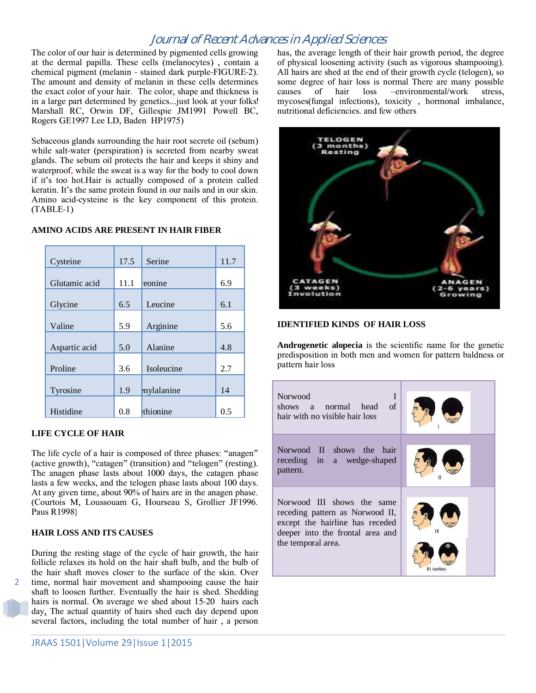The color of our hair is determined by pigmented cells growing at the dermal papilla. These cells (melanocytes) , contain a chemical pigment (melanin - stained dark purple-FIGURE-2). The amount and density of melanin in these cells determines the exact color of your hair. The color, shape and thickness is in a large part determined by genetics...just look at your folks! Marshall RC, Orwin DF, Gillespie JM1991 Powell BC, Rogers GE1997 Lee LD, Baden HP1975)

Sebaceous glands surrounding the hair root secrete oil (sebum) while salt-water (perspiration) is secreted from nearby sweat glands. The sebum oil protects the hair and keeps it shiny and waterproof, while the sweat is a way for the body to cool down if it's too hot.Hair is actually composed of a protein called keratin. It's the same protein found in our nails and in our skin. Amino acid-cysteine is the key component of this protein. (TABLE-1)

| Cysteine      | 17.5 | Serine     | 11.7 |
|---------------|------|------------|------|
| Glutamic acid | 11.1 | eonine     | 6.9  |
| Glycine       | 6.5  | Leucine    | 6.1  |
| Valine        | 5.9  | Arginine   | 5.6  |
| Aspartic acid | 5.0  | Alanine    | 4.8  |
| Proline       | 3.6  | Isoleucine | 2.7  |
| Tyrosine      | 1.9  | mylalanine | 14   |
| Histidine     | 0.8  | thionine   | 0.5  |

### **AMINO ACIDS ARE PRESENT IN HAIR FIBER**

### **LIFE CYCLE OF HAIR**

The life cycle of a hair is composed of three phases: "anagen" (active growth), "catagen" (transition) and "telogen" (resting). The anagen phase lasts about 1000 days, the catagen phase lasts a few weeks, and the telogen phase lasts about 100 days. At any given time, about 90% of hairs are in the anagen phase. (Courtois M, Loussouam G, Hourseau S, Grollier JF1996. Paus R1998}

### **HAIR LOSS AND ITS CAUSES**

2

During the resting stage of the cycle of hair growth, the hair follicle relaxes its hold on the hair shaft bulb, and the bulb of the hair shaft moves closer to the surface of the skin. Over time, normal hair movement and shampooing cause the hair shaft to loosen further. Eventually the hair is shed. Shedding hairs is normal. On average we shed about 15-20 hairs each day. The actual quantity of hairs shed each day depend upon several factors, including the total number of hair , a person has, the average length of their hair growth period, the degree of physical loosening activity (such as vigorous shampooing). All hairs are shed at the end of their growth cycle (telogen), so some degree of hair loss is normal There are many possible causes of hair loss -environmental/work stress, causes of hair loss –environmental/work stress, mycoses(fungal infections), toxicity , hormonal imbalance, nutritional deficiencies. and few others



### **IDENTIFIED KINDS OF HAIR LOSS**

**Androgenetic alopecia** is the scientific name for the genetic predisposition in both men and women for pattern baldness or pattern hair loss

| Norwood<br>I<br>shows a normal head of<br>hair with no visible hair loss                                                                                   |  |  |
|------------------------------------------------------------------------------------------------------------------------------------------------------------|--|--|
| Norwood II shows the hair<br>receding in a wedge-shaped<br>pattern.                                                                                        |  |  |
| Norwood III shows the same<br>receding pattern as Norwood II,<br>except the hairline has receded<br>deeper into the frontal area and<br>the temporal area. |  |  |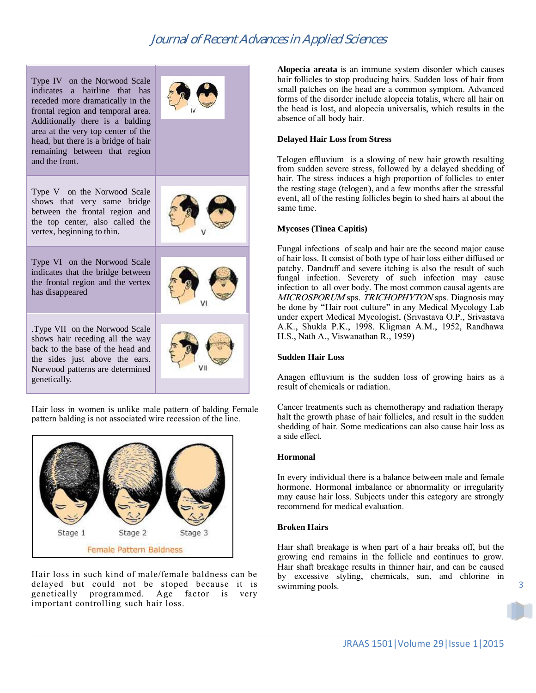Type IV on the Norwood Scale indicates a hairline that has receded more dramatically in the frontal region and temporal area. Additionally there is a balding area at the very top center of the head, but there is a bridge of hair remaining between that region and the front.



Type V on the Norwood Scale shows that very same bridge between the frontal region and the top center, also called the vertex, beginning to thin.

Type VI on the Norwood Scale indicates that the bridge between the frontal region and the vertex has disappeared

.Type VII on the Norwood Scale shows hair receding all the way back to the base of the head and the sides just above the ears. Norwood patterns are determined genetically.



Hair loss in women is unlike male pattern of balding Female pattern balding is not associated wire recession of the line.



Hair loss in such kind of male/female baldness can be delayed but could not be stoped because it is genetically programmed. Age factor is very important controlling such hair loss.

**Alopecia areata** is an immune system disorder which causes hair follicles to stop producing hairs. Sudden loss of hair from small patches on the head are a common symptom. Advanced forms of the disorder include alopecia totalis, where all hair on the head is lost, and alopecia universalis, which results in the absence of all body hair.

### **Delayed Hair Loss from Stress**

Telogen effluvium is a slowing of new hair growth resulting from sudden severe stress, followed by a delayed shedding of hair. The stress induces a high proportion of follicles to enter the resting stage (telogen), and a few months after the stressful event, all of the resting follicles begin to shed hairs at about the same time.

### **Mycoses (Tinea Capitis)**

Fungal infections of scalp and hair are the second major cause of hair loss. It consist of both type of hair loss either diffused or patchy. Dandruff and severe itching is also the result of such fungal infection. Severety of such infection may cause infection to all over body. The most common causal agents are MICROSPORUM sps. TRICHOPHYTON sps. Diagnosis may be done by "Hair root culture" in any Medical Mycology Lab under expert Medical Mycologist. (Srivastava O.P., Srivastava A.K., Shukla P.K., 1998. Kligman A.M., 1952, Randhawa H.S., Nath A., Viswanathan R., 1959)

### **Sudden Hair Loss**

Anagen effluvium is the sudden loss of growing hairs as a result of chemicals or radiation.

Cancer treatments such as chemotherapy and radiation therapy halt the growth phase of hair follicles, and result in the sudden shedding of hair. Some medications can also cause hair loss as a side effect.

### **Hormonal**

In every individual there is a balance between male and female hormone. Hormonal imbalance or abnormality or irregularity may cause hair loss. Subjects under this category are strongly recommend for medical evaluation.

### **Broken Hairs**

Hair shaft breakage is when part of a hair breaks off, but the growing end remains in the follicle and continues to grow. Hair shaft breakage results in thinner hair, and can be caused by excessive styling, chemicals, sun, and chlorine in swimming pools.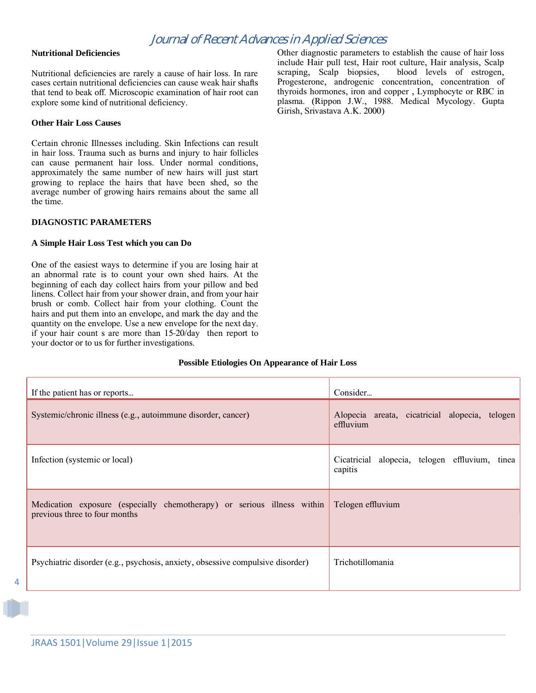### **Nutritional Deficiencies**

Nutritional deficiencies are rarely a cause of hair loss. In rare cases certain nutritional deficiencies can cause weak hair shafts that tend to beak off. Microscopic examination of hair root can explore some kind of nutritional deficiency.

### **Other Hair Loss Causes**

Certain chronic Illnesses including. Skin Infections can result in hair loss. Trauma such as burns and injury to hair follicles can cause permanent hair loss. Under normal conditions, approximately the same number of new hairs will just start growing to replace the hairs that have been shed, so the average number of growing hairs remains about the same all the time.

### **DIAGNOSTIC PARAMETERS**

### **A Simple Hair Loss Test which you can Do**

One of the easiest ways to determine if you are losing hair at an abnormal rate is to count your own shed hairs. At the beginning of each day collect hairs from your pillow and bed linens. Collect hair from your shower drain, and from your hair brush or comb. Collect hair from your clothing. Count the hairs and put them into an envelope, and mark the day and the quantity on the envelope. Use a new envelope for the next day. if your hair count s are more than 15-20/day then report to your doctor or to us for further investigations.

Other diagnostic parameters to establish the cause of hair loss include Hair pull test, Hair root culture, Hair analysis, Scalp scraping, Scalp biopsies, blood levels of estrogen, scraping, Scalp biopsies, Progesterone, androgenic concentration, concentration of thyroids hormones, iron and copper , Lymphocyte or RBC in plasma. (Rippon J.W., 1988. Medical Mycology. Gupta Girish, Srivastava A.K. 2000)

### **Possible Etiologies On Appearance of Hair Loss**

| If the patient has or reports                                                                            | Consider                                                     |
|----------------------------------------------------------------------------------------------------------|--------------------------------------------------------------|
| Systemic/chronic illness (e.g., autoimmune disorder, cancer)                                             | Alopecia areata, cicatricial alopecia, telogen<br>effluvium  |
| Infection (systemic or local)                                                                            | alopecia, telogen effluvium, tinea<br>Cicatricial<br>capitis |
| Medication exposure (especially chemotherapy) or serious illness within<br>previous three to four months | Telogen effluvium                                            |
| Psychiatric disorder (e.g., psychosis, anxiety, obsessive compulsive disorder)                           | Trichotillomania                                             |

 $\Delta$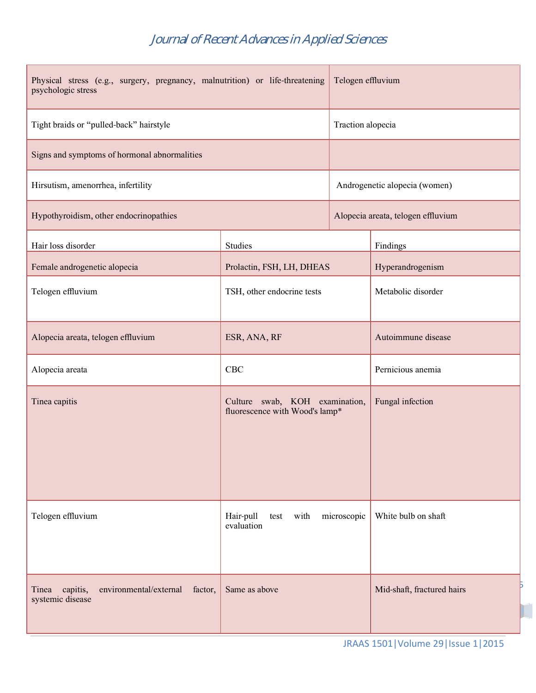| Physical stress (e.g., surgery, pregnancy, malnutrition) or life-threatening<br>psychologic stress |                                                                  | Telogen effluvium                  |                            |
|----------------------------------------------------------------------------------------------------|------------------------------------------------------------------|------------------------------------|----------------------------|
| Tight braids or "pulled-back" hairstyle                                                            |                                                                  | Traction alopecia                  |                            |
| Signs and symptoms of hormonal abnormalities                                                       |                                                                  |                                    |                            |
| Hirsutism, amenorrhea, infertility                                                                 |                                                                  | Androgenetic alopecia (women)      |                            |
| Hypothyroidism, other endocrinopathies                                                             |                                                                  | Alopecia areata, telogen effluvium |                            |
| Hair loss disorder                                                                                 | <b>Studies</b>                                                   |                                    | Findings                   |
| Female androgenetic alopecia                                                                       | Prolactin, FSH, LH, DHEAS                                        |                                    | Hyperandrogenism           |
| Telogen effluvium                                                                                  | TSH, other endocrine tests                                       |                                    | Metabolic disorder         |
| Alopecia areata, telogen effluvium                                                                 | ESR, ANA, RF                                                     |                                    | Autoimmune disease         |
| Alopecia areata                                                                                    | CBC                                                              |                                    | Pernicious anemia          |
| Tinea capitis                                                                                      | Culture swab, KOH examination,<br>fluorescence with Wood's lamp* |                                    | Fungal infection           |
| Telogen effluvium                                                                                  | Hair-pull<br>with<br>microscopic<br>test<br>evaluation           |                                    | White bulb on shaft        |
| environmental/external<br>capitis,<br>factor,<br>Tinea<br>systemic disease                         | Same as above                                                    |                                    | Mid-shaft, fractured hairs |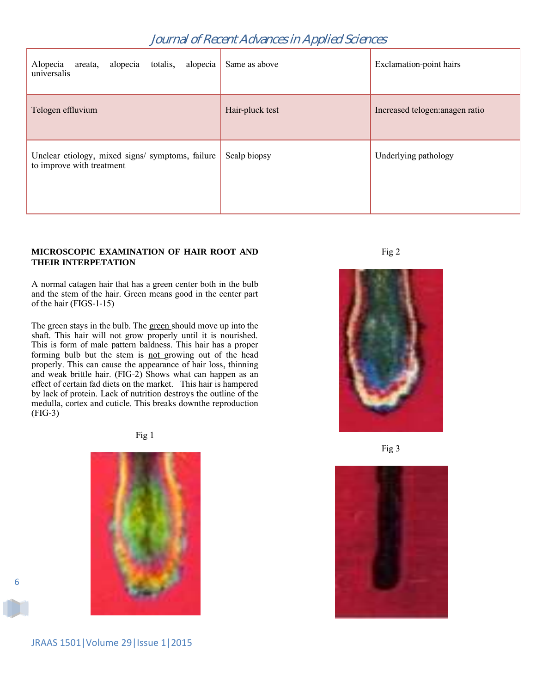| alopecia<br>areata, alopecia<br>totalis,<br>Alopecia<br>universalis           | Same as above   | Exclamation-point hairs         |
|-------------------------------------------------------------------------------|-----------------|---------------------------------|
| Telogen effluvium                                                             | Hair-pluck test | Increased telogen: anagen ratio |
| Unclear etiology, mixed signs/ symptoms, failure<br>to improve with treatment | Scalp biopsy    | Underlying pathology            |

### **MICROSCOPIC EXAMINATION OF HAIR ROOT AND THEIR INTERPETATION**

A normal catagen hair that has a green center both in the bulb and the stem of the hair. Green means good in the center part of the hair (FIGS-1-15)

The green stays in the bulb. The green should move up into the shaft. This hair will not grow properly until it is nourished. This is form of male pattern baldness. This hair has a proper forming bulb but the stem is not growing out of the head properly. This can cause the appearance of hair loss, thinning and weak brittle hair. (FIG-2) Shows what can happen as an effect of certain fad diets on the market. This hair is hampered by lack of protein. Lack of nutrition destroys the outline of the medulla, cortex and cuticle. This breaks downthe reproduction (FIG-3)

Fig 1



Fig 2



Fig 3

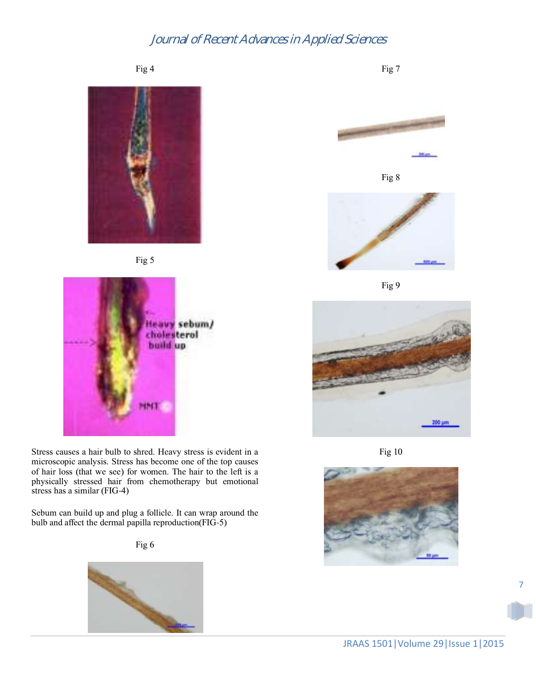Fig 4







Stress causes a hair bulb to shred. Heavy stress is evident in a microscopic analysis. Stress has become one of the top causes of hair loss (that we see) for women. The hair to the left is a physically stressed hair from chemotherapy but emotional stress has a similar (FIG-4)

Sebum can build up and plug a follicle. It can wrap around the bulb and affect the dermal papilla reproduction(FIG-5)







Fig 7





Fig 9



Fig 10

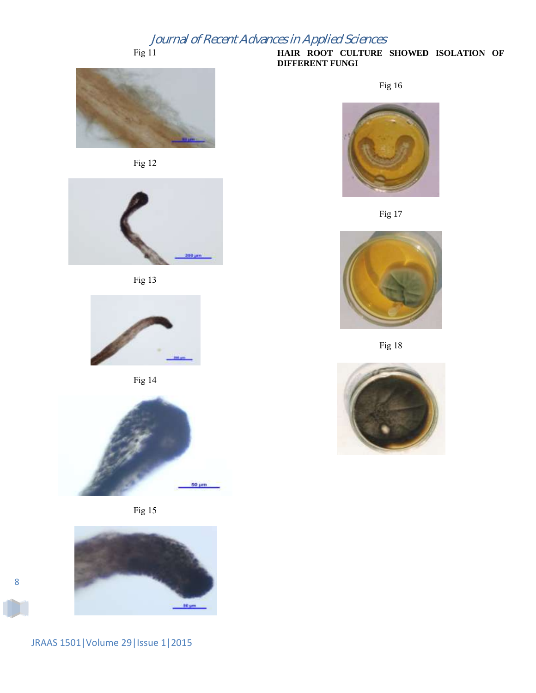Fig 11











Fig 14







**HAIR ROOT CULTURE SHOWED ISOLATION OF DIFFERENT FUNGI** 

Fig 16







Fig 18



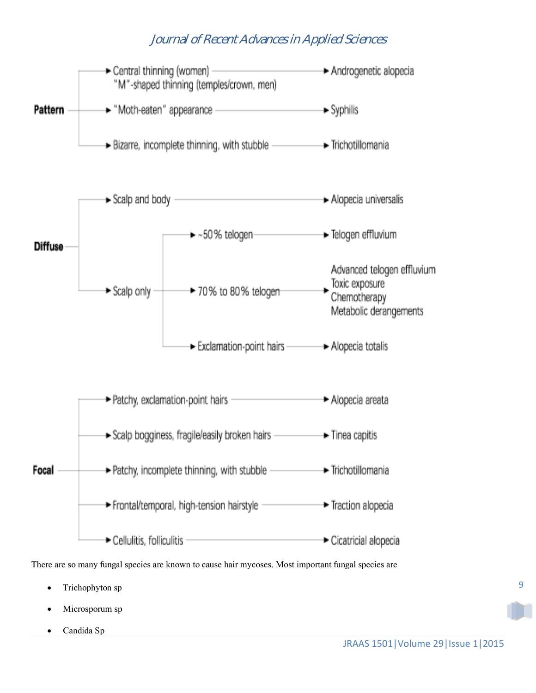

Candida Sp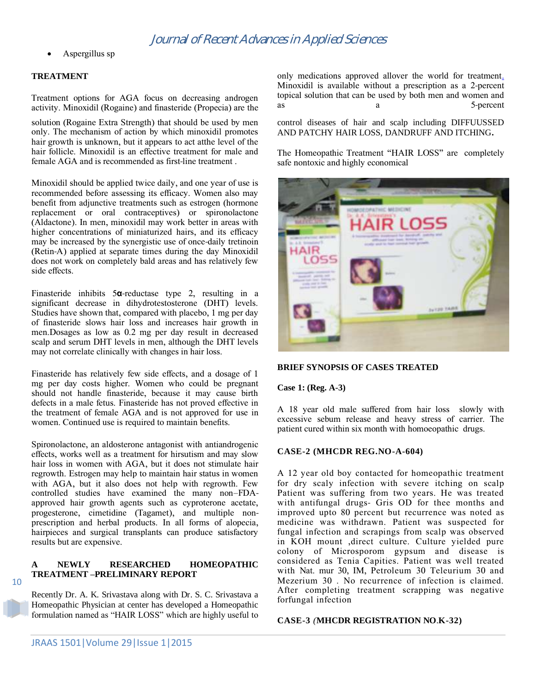Aspergillus sp

### **TREATMENT**

Treatment options for AGA focus on decreasing androgen activity. Minoxidil (Rogaine) and finasteride (Propecia) are the

solution (Rogaine Extra Strength) that should be used by men only. The mechanism of action by which minoxidil promotes hair growth is unknown, but it appears to act atthe level of the hair follicle. Minoxidil is an effective treatment for male and female AGA and is recommended as first-line treatment .

Minoxidil should be applied twice daily, and one year of use is recommended before assessing its efficacy. Women also may benefit from adjunctive treatments such as estrogen (hormone replacement or oral contraceptives) or spironolactone (Aldactone). In men, minoxidil may work better in areas with higher concentrations of miniaturized hairs, and its efficacy may be increased by the synergistic use of once-daily tretinoin (Retin-A) applied at separate times during the day Minoxidil does not work on completely bald areas and has relatively few side effects.

Finasteride inhibits 5**α**-reductase type 2, resulting in a significant decrease in dihydrotestosterone (DHT) levels. Studies have shown that, compared with placebo, 1 mg per day of finasteride slows hair loss and increases hair growth in men.Dosages as low as 0.2 mg per day result in decreased scalp and serum DHT levels in men, although the DHT levels may not correlate clinically with changes in hair loss.

Finasteride has relatively few side effects, and a dosage of 1 mg per day costs higher. Women who could be pregnant should not handle finasteride, because it may cause birth defects in a male fetus. Finasteride has not proved effective in the treatment of female AGA and is not approved for use in women. Continued use is required to maintain benefits.

Spironolactone, an aldosterone antagonist with antiandrogenic effects, works well as a treatment for hirsutism and may slow hair loss in women with AGA, but it does not stimulate hair regrowth. Estrogen may help to maintain hair status in women with AGA, but it also does not help with regrowth. Few controlled studies have examined the many non–FDAapproved hair growth agents such as cyproterone acetate, progesterone, cimetidine (Tagamet), and multiple nonprescription and herbal products. In all forms of alopecia, hairpieces and surgical transplants can produce satisfactory results but are expensive.

### **A NEWLY RESEARCHED HOMEOPATHIC TREATMENT –PRELIMINARY REPORT**

Recently Dr. A. K. Srivastava along with Dr. S. C. Srivastava a Homeopathic Physician at center has developed a Homeopathic formulation named as "HAIR LOSS" which are highly useful to

only medications approved allover the world for treatmen[t.](http://www.aafp.org/afp/2003/0701/p93.html#afp20030701p93-b6) Minoxidil is available without a prescription as a 2-percent topical solution that can be used by both men and women and as a 5-percent

control diseases of hair and scalp including DIFFUUSSED AND PATCHY HAIR LOSS, DANDRUFF AND ITCHING**.**

The Homeopathic Treatment "HAIR LOSS" are completely safe nontoxic and highly economical



### **BRIEF SYNOPSIS OF CASES TREATED**

### **Case 1: (Reg. A-3)**

A 18 year old male suffered from hair loss slowly with excessive sebum release and heavy stress of carrier. The patient cured within six month with homoeopathic drugs.

### **CASE-2 (MHCDR REG.NO-A-604)**

A 12 year old boy contacted for homeopathic treatment for dry scaly infection with severe itching on scalp Patient was suffering from two years. He was treated with antifungal drugs- Gris OD for thee months and improved upto 80 percent but recurrence was noted as medicine was withdrawn. Patient was suspected for fungal infection and scrapings from scalp was observed in KOH mount ,direct culture. Culture yielded pure colony of Microsporom gypsum and disease is considered as Tenia Capities. Patient was well treated with Nat. mur 30, IM, Petroleum 30 Teleurium 30 and Mezerium 30 . No recurrence of infection is claimed. After completing treatment scrapping was negative forfungal infection

### **CASE-3** *(***MHCDR REGISTRATION NO**.**K-32)**

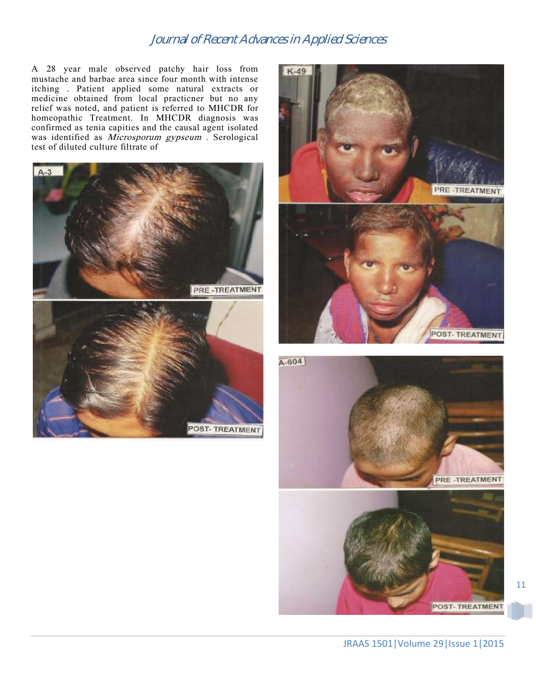A 28 year male observed patchy hair loss from mustache and barbae area since four month with intense itching . Patient applied some natural extracts or medicine obtained from local practicner but no any relief was noted, and patient is referred to MHCDR for homeopathic Treatment. In MHCDR diagnosis was confirmed as tenia capities and the causal agent isolated was identified as *Microsporum gypseum* . Serological test of diluted culture filtrate of



POST- TREATMENT





POST-TREATMENT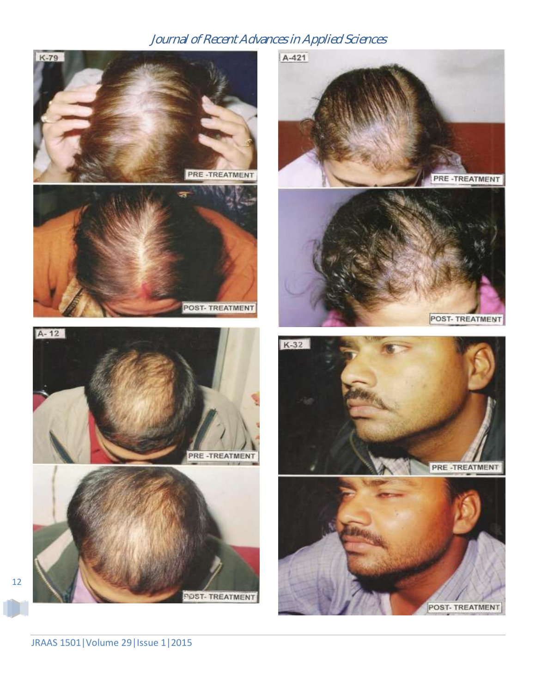



K-79



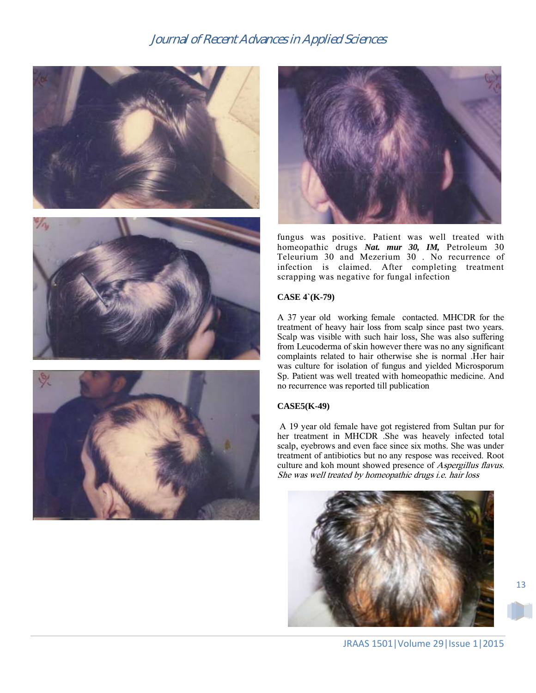







fungus was positive. Patient was well treated with homeopathic drugs *Nat. mur 30, IM,* Petroleum 30 Teleurium 30 and Mezerium 30 . No recurrence of infection is claimed. After completing treatment scrapping was negative for fungal infection

### **CASE 4`(K-79)**

A 37 year old working female contacted. MHCDR for the treatment of heavy hair loss from scalp since past two years. Scalp was visible with such hair loss, She was also suffering from Leucoderma of skin however there was no any significant complaints related to hair otherwise she is normal .Her hair was culture for isolation of fungus and yielded Microsporum Sp. Patient was well treated with homeopathic medicine. And no recurrence was reported till publication

### **CASE5(K-49)**

A 19 year old female have got registered from Sultan pur for her treatment in MHCDR .She was heavely infected total scalp, eyebrows and even face since six moths. She was under treatment of antibiotics but no any respose was received. Root culture and koh mount showed presence of Aspergillus flavus. She was well treated by homeopathic drugs i.e. hair loss

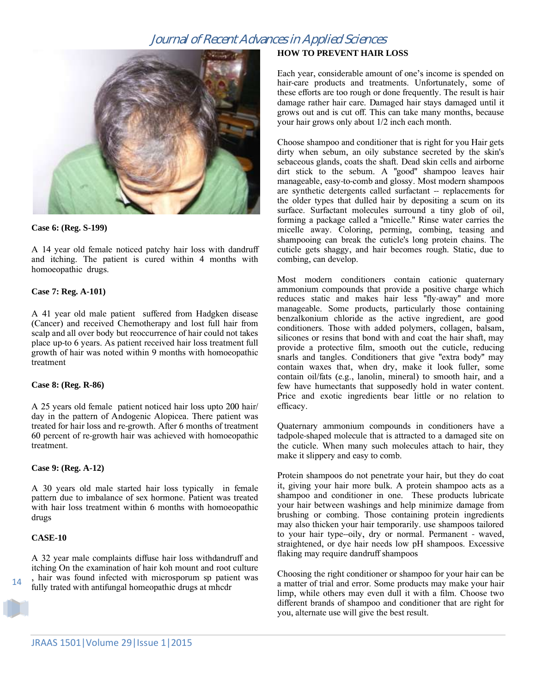

#### **Case 6: (Reg. S-199)**

A 14 year old female noticed patchy hair loss with dandruff and itching. The patient is cured within 4 months with homoeopathic drugs.

### **Case 7: Reg. A-101)**

A 41 year old male patient suffered from Hadgken disease (Cancer) and received Chemotherapy and lost full hair from scalp and all over body but reoccurrence of hair could not takes place up-to 6 years. As patient received hair loss treatment full growth of hair was noted within 9 months with homoeopathic treatment

### **Case 8: (Reg. R-86)**

A 25 years old female patient noticed hair loss upto 200 hair/ day in the pattern of Andogenic Alopicea. There patient was treated for hair loss and re-growth. After 6 months of treatment 60 percent of re-growth hair was achieved with homoeopathic treatment.

### **Case 9: (Reg. A-12)**

A 30 years old male started hair loss typically in female pattern due to imbalance of sex hormone. Patient was treated with hair loss treatment within 6 months with homoeopathic drugs

#### **CASE-10**

14

A 32 year male complaints diffuse hair loss withdandruff and itching On the examination of hair koh mount and root culture hair was found infected with microsporum sp patient was the fully trated with antifungal homeopathic drugs at mhcdr fully trated with antifungal homeopathic drugs at mhcdr

### **HOW TO PREVENT HAIR LOSS**

Each year, considerable amount of one's income is spended on hair-care products and treatments. Unfortunately, some of these efforts are too rough or done frequently. The result is hair damage rather hair care. Damaged hair stays damaged until it grows out and is cut off. This can take many months, because your hair grows only about 1/2 inch each month.

Choose shampoo and conditioner that is right for you Hair gets dirty when sebum, an oily substance secreted by the skin's sebaceous glands, coats the shaft. Dead skin cells and airborne dirt stick to the sebum. A "good" shampoo leaves hair manageable, easy-to-comb and glossy. Most modern shampoos are synthetic detergents called surfactant -- replacements for the older types that dulled hair by depositing a scum on its surface. Surfactant molecules surround a tiny glob of oil, forming a package called a "micelle." Rinse water carries the micelle away. Coloring, perming, combing, teasing and shampooing can break the cuticle's long protein chains. The cuticle gets shaggy, and hair becomes rough. Static, due to combing, can develop.

Most modern conditioners contain cationic quaternary ammonium compounds that provide a positive charge which reduces static and makes hair less "fly-away" and more manageable. Some products, particularly those containing benzalkonium chloride as the active ingredient, are good conditioners. Those with added polymers, collagen, balsam, silicones or resins that bond with and coat the hair shaft, may provide a protective film, smooth out the cuticle, reducing snarls and tangles. Conditioners that give "extra body" may contain waxes that, when dry, make it look fuller, some contain oil/fats (e.g., lanolin, mineral) to smooth hair, and a few have humectants that supposedly hold in water content. Price and exotic ingredients bear little or no relation to efficacy.

Quaternary ammonium compounds in conditioners have a tadpole-shaped molecule that is attracted to a damaged site on the cuticle. When many such molecules attach to hair, they make it slippery and easy to comb.

Protein shampoos do not penetrate your hair, but they do coat it, giving your hair more bulk. A protein shampoo acts as a shampoo and conditioner in one. These products lubricate your hair between washings and help minimize damage from brushing or combing. Those containing protein ingredients may also thicken your hair temporarily. use shampoos tailored to your hair type--oily, dry or normal. Permanent - waved, straightened, or dye hair needs low pH shampoos. Excessive flaking may require dandruff shampoos

Choosing the right conditioner or shampoo for your hair can be a matter of trial and error. Some products may make your hair limp, while others may even dull it with a film. Choose two different brands of shampoo and conditioner that are right for you, alternate use will give the best result.